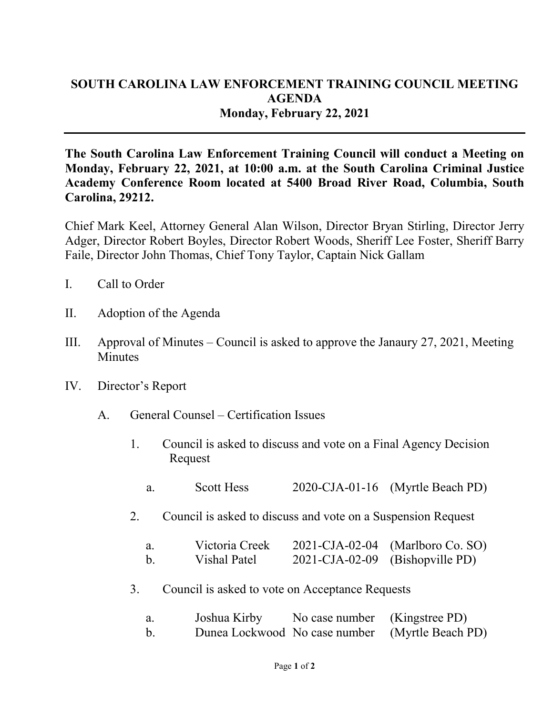## **SOUTH CAROLINA LAW ENFORCEMENT TRAINING COUNCIL MEETING AGENDA Monday, February 22, 2021**

**The South Carolina Law Enforcement Training Council will conduct a Meeting on Monday, February 22, 2021, at 10:00 a.m. at the South Carolina Criminal Justice Academy Conference Room located at 5400 Broad River Road, Columbia, South Carolina, 29212.** 

Chief Mark Keel, Attorney General Alan Wilson, Director Bryan Stirling, Director Jerry Adger, Director Robert Boyles, Director Robert Woods, Sheriff Lee Foster, Sheriff Barry Faile, Director John Thomas, Chief Tony Taylor, Captain Nick Gallam

- I. Call to Order
- II. Adoption of the Agenda
- III. Approval of Minutes Council is asked to approve the Janaury 27, 2021, Meeting **Minutes**
- IV. Director's Report
	- A. General Counsel Certification Issues
		- 1. Council is asked to discuss and vote on a Final Agency Decision Request
			- a. Scott Hess 2020-CJA-01-16 (Myrtle Beach PD)
		- 2. Council is asked to discuss and vote on a Suspension Request

| a.      | Victoria Creek |                                 | $2021$ -CJA-02-04 (Marlboro Co. SO) |
|---------|----------------|---------------------------------|-------------------------------------|
| $h_{-}$ | Vishal Patel   | 2021-CJA-02-09 (Bishopville PD) |                                     |

3. Council is asked to vote on Acceptance Requests

| Joshua Kirby | No case number (Kingstree PD) |                                                 |
|--------------|-------------------------------|-------------------------------------------------|
|              |                               | Dunea Lockwood No case number (Myrtle Beach PD) |